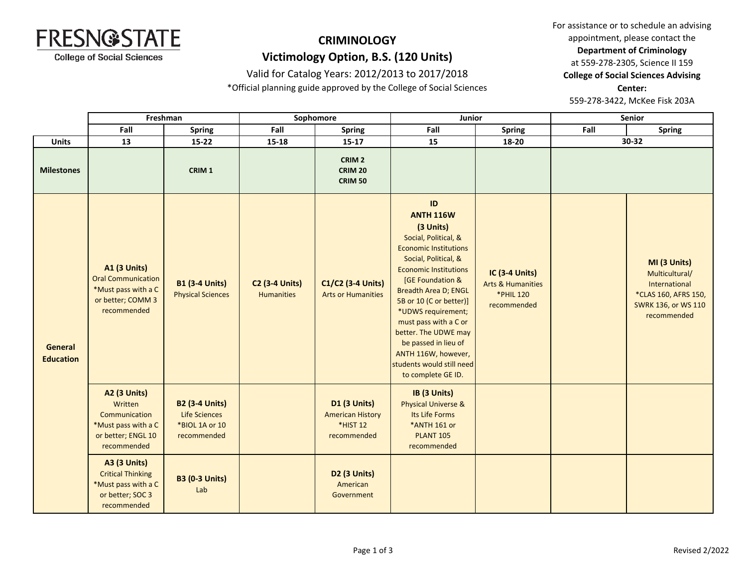

# **CRIMINOLOGY Victimology Option, B.S. (120 Units)**

### Valid for Catalog Years: 2012/2013 to 2017/2018

\*Official planning guide approved by the College of Social Sciences

For assistance or to schedule an advising appointment, please contact the **Department of Criminology** at 559-278-2305, Science II 159 **College of Social Sciences Advising Center:** 

559-278-3422, McKee Fisk 203A

|                             | Freshman                                                                                                    |                                                                         | Sophomore                                  |                                                                           | Junior                                                                                                                                                                                                                                                                                                                                                                                                     |                                                                            | Senior |                                                                                                               |
|-----------------------------|-------------------------------------------------------------------------------------------------------------|-------------------------------------------------------------------------|--------------------------------------------|---------------------------------------------------------------------------|------------------------------------------------------------------------------------------------------------------------------------------------------------------------------------------------------------------------------------------------------------------------------------------------------------------------------------------------------------------------------------------------------------|----------------------------------------------------------------------------|--------|---------------------------------------------------------------------------------------------------------------|
|                             | Fall                                                                                                        | <b>Spring</b>                                                           | Fall                                       | <b>Spring</b>                                                             | Fall                                                                                                                                                                                                                                                                                                                                                                                                       | <b>Spring</b>                                                              | Fall   | <b>Spring</b>                                                                                                 |
| <b>Units</b>                | 13                                                                                                          | $15 - 22$                                                               | $15 - 18$                                  | $15 - 17$                                                                 | 15                                                                                                                                                                                                                                                                                                                                                                                                         | 18-20                                                                      |        | $30 - 32$                                                                                                     |
| <b>Milestones</b>           |                                                                                                             | CRIM <sub>1</sub>                                                       |                                            | CRIM <sub>2</sub><br><b>CRIM 20</b><br><b>CRIM 50</b>                     |                                                                                                                                                                                                                                                                                                                                                                                                            |                                                                            |        |                                                                                                               |
| General<br><b>Education</b> | <b>A1 (3 Units)</b><br><b>Oral Communication</b><br>*Must pass with a C<br>or better; COMM 3<br>recommended | <b>B1 (3-4 Units)</b><br><b>Physical Sciences</b>                       | <b>C2 (3-4 Units)</b><br><b>Humanities</b> | C1/C2 (3-4 Units)<br><b>Arts or Humanities</b>                            | ID<br><b>ANTH 116W</b><br>(3 Units)<br>Social, Political, &<br><b>Economic Institutions</b><br>Social, Political, &<br><b>Economic Institutions</b><br>[GE Foundation &<br><b>Breadth Area D; ENGL</b><br>5B or 10 (C or better)]<br>*UDWS requirement;<br>must pass with a C or<br>better. The UDWE may<br>be passed in lieu of<br>ANTH 116W, however,<br>students would still need<br>to complete GE ID. | IC (3-4 Units)<br><b>Arts &amp; Humanities</b><br>*PHIL 120<br>recommended |        | MI (3 Units)<br>Multicultural/<br>International<br>*CLAS 160, AFRS 150,<br>SWRK 136, or WS 110<br>recommended |
|                             | A2 (3 Units)<br>Written<br>Communication<br>*Must pass with a C<br>or better; ENGL 10<br>recommended        | <b>B2 (3-4 Units)</b><br>Life Sciences<br>*BIOL 1A or 10<br>recommended |                                            | <b>D1 (3 Units)</b><br><b>American History</b><br>*HIST 12<br>recommended | IB (3 Units)<br>Physical Universe &<br>Its Life Forms<br>*ANTH 161 or<br><b>PLANT 105</b><br>recommended                                                                                                                                                                                                                                                                                                   |                                                                            |        |                                                                                                               |
|                             | <b>A3 (3 Units)</b><br><b>Critical Thinking</b><br>*Must pass with a C<br>or better; SOC 3<br>recommended   | <b>B3 (0-3 Units)</b><br>Lab                                            |                                            | D2 (3 Units)<br>American<br>Government                                    |                                                                                                                                                                                                                                                                                                                                                                                                            |                                                                            |        |                                                                                                               |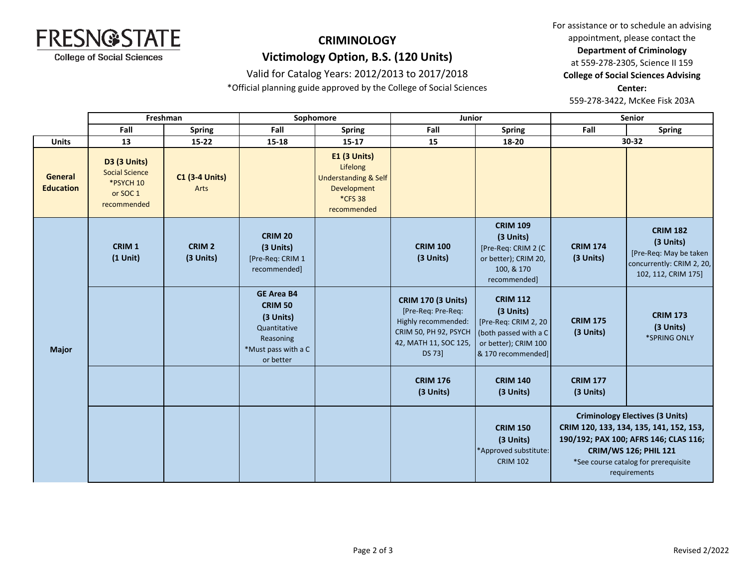

# **CRIMINOLOGY Victimology Option, B.S. (120 Units)**

### Valid for Catalog Years: 2012/2013 to 2017/2018

\*Official planning guide approved by the College of Social Sciences

For assistance or to schedule an advising appointment, please contact the **Department of Criminology** at 559-278-2305, Science II 159 **College of Social Sciences Advising Center:** 

559-278-3422, McKee Fisk 203A

|                             | Freshman                                                                      |                                | Sophomore                                                                                                         |                                                                                                             | Junior                                                                                                                             |                                                                                                                             | Senior                                                                                                                                                                                                             |                                                                                                            |
|-----------------------------|-------------------------------------------------------------------------------|--------------------------------|-------------------------------------------------------------------------------------------------------------------|-------------------------------------------------------------------------------------------------------------|------------------------------------------------------------------------------------------------------------------------------------|-----------------------------------------------------------------------------------------------------------------------------|--------------------------------------------------------------------------------------------------------------------------------------------------------------------------------------------------------------------|------------------------------------------------------------------------------------------------------------|
|                             | Fall                                                                          | <b>Spring</b>                  | Fall                                                                                                              | <b>Spring</b>                                                                                               | Fall                                                                                                                               | <b>Spring</b>                                                                                                               | Fall                                                                                                                                                                                                               | <b>Spring</b>                                                                                              |
| <b>Units</b>                | 13                                                                            | 15-22                          | 15-18                                                                                                             | $15 - 17$                                                                                                   | 15                                                                                                                                 | 18-20                                                                                                                       | 30-32                                                                                                                                                                                                              |                                                                                                            |
| General<br><b>Education</b> | D3 (3 Units)<br><b>Social Science</b><br>*PSYCH 10<br>or SOC 1<br>recommended | <b>C1 (3-4 Units)</b><br>Arts  |                                                                                                                   | <b>E1 (3 Units)</b><br>Lifelong<br><b>Understanding &amp; Self</b><br>Development<br>*CFS 38<br>recommended |                                                                                                                                    |                                                                                                                             |                                                                                                                                                                                                                    |                                                                                                            |
| <b>Major</b>                | CRIM <sub>1</sub><br>$(1$ Unit)                                               | CRIM <sub>2</sub><br>(3 Units) | <b>CRIM 20</b><br>(3 Units)<br>[Pre-Req: CRIM 1<br>recommended]                                                   |                                                                                                             | <b>CRIM 100</b><br>(3 Units)                                                                                                       | <b>CRIM 109</b><br>(3 Units)<br>[Pre-Req: CRIM 2 (C<br>or better); CRIM 20,<br>100, & 170<br>recommended]                   | <b>CRIM 174</b><br>(3 Units)                                                                                                                                                                                       | <b>CRIM 182</b><br>(3 Units)<br>[Pre-Req: May be taken<br>concurrently: CRIM 2, 20,<br>102, 112, CRIM 175] |
|                             |                                                                               |                                | <b>GE Area B4</b><br><b>CRIM 50</b><br>(3 Units)<br>Quantitative<br>Reasoning<br>*Must pass with a C<br>or better |                                                                                                             | <b>CRIM 170 (3 Units)</b><br>[Pre-Req: Pre-Req:<br>Highly recommended:<br>CRIM 50, PH 92, PSYCH<br>42, MATH 11, SOC 125,<br>DS 73] | <b>CRIM 112</b><br>(3 Units)<br>[Pre-Req: CRIM 2, 20<br>(both passed with a C<br>or better); CRIM 100<br>& 170 recommended] | <b>CRIM 175</b><br>(3 Units)                                                                                                                                                                                       | <b>CRIM 173</b><br>(3 Units)<br>*SPRING ONLY                                                               |
|                             |                                                                               |                                |                                                                                                                   |                                                                                                             | <b>CRIM 176</b><br>(3 Units)                                                                                                       | <b>CRIM 140</b><br>(3 Units)                                                                                                | <b>CRIM 177</b><br>(3 Units)                                                                                                                                                                                       |                                                                                                            |
|                             |                                                                               |                                |                                                                                                                   |                                                                                                             |                                                                                                                                    | <b>CRIM 150</b><br>(3 Units)<br>*Approved substitute:<br><b>CRIM 102</b>                                                    | <b>Criminology Electives (3 Units)</b><br>CRIM 120, 133, 134, 135, 141, 152, 153,<br>190/192; PAX 100; AFRS 146; CLAS 116;<br><b>CRIM/WS 126; PHIL 121</b><br>*See course catalog for prerequisite<br>requirements |                                                                                                            |